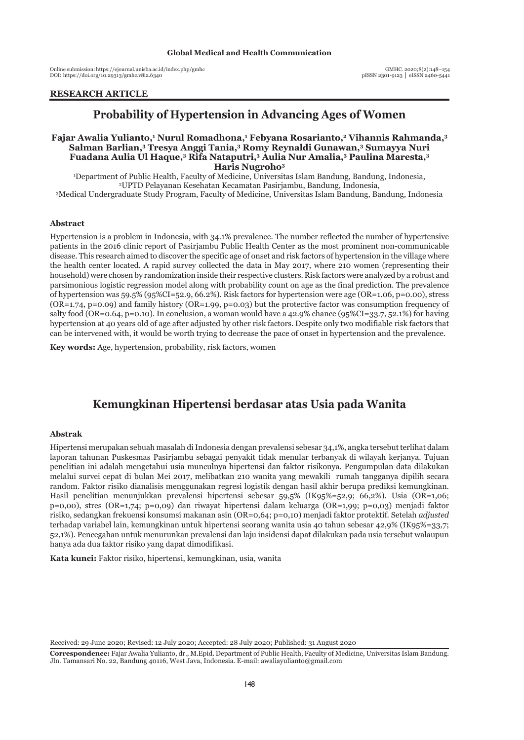Online submission: https://ejournal.unisba.ac.id/index.php/gmhc DOI: pISSN 2301-9123 │ eISSN 2460-5441 https://doi.org/10.29313/gmhc.v8i2.6340

## **RESEARCH ARTICLE**

# **Probability of Hypertension in Advancing Ages of Women**

## **Fajar Awalia Yulianto,1 Nurul Romadhona,1 Febyana Rosarianto,2 Vihannis Rahmanda,3 Salman Barlian,3 Tresya Anggi Tania,3 Romy Reynaldi Gunawan,3 Sumayya Nuri Fuadana Aulia Ul Haque,3 Rifa Nataputri,3 Aulia Nur Amalia,3 Paulina Maresta,3 Haris Nugroho3**

1 Department of Public Health, Faculty of Medicine, Universitas Islam Bandung, Bandung, Indonesia, 2 UPTD Pelayanan Kesehatan Kecamatan Pasirjambu, Bandung, Indonesia, 3 <sup>3</sup>Medical Undergraduate Study Program, Faculty of Medicine, Universitas Islam Bandung, Bandung, Indonesia

#### **Abstract**

Hypertension is a problem in Indonesia, with 34.1% prevalence. The number reflected the number of hypertensive patients in the 2016 clinic report of Pasirjambu Public Health Center as the most prominent non-communicable disease. This research aimed to discover the specific age of onset and risk factors of hypertension in the village where the health center located. A rapid survey collected the data in May 2017, where 210 women (representing their household) were chosen by randomization inside their respective clusters. Risk factors were analyzed by a robust and parsimonious logistic regression model along with probability count on age as the final prediction. The prevalence of hypertension was 59.5% (95%CI=52.9, 66.2%). Risk factors for hypertension were age (OR=1.06, p=0.00), stress  $(OR=1.74, p=0.09)$  and family history  $(OR=1.99, p=0.03)$  but the protective factor was consumption frequency of salty food (OR=0.64, p=0.10). In conclusion, a woman would have a 42.9% chance (95%CI=33.7, 52.1%) for having hypertension at 40 years old of age after adjusted by other risk factors. Despite only two modifiable risk factors that can be intervened with, it would be worth trying to decrease the pace of onset in hypertension and the prevalence.

**Key words:** Age, hypertension, probability, risk factors, women

# **Kemungkinan Hipertensi berdasar atas Usia pada Wanita**

#### **Abstrak**

Hipertensi merupakan sebuah masalah di Indonesia dengan prevalensi sebesar 34,1%, angka tersebut terlihat dalam laporan tahunan Puskesmas Pasirjambu sebagai penyakit tidak menular terbanyak di wilayah kerjanya. Tujuan penelitian ini adalah mengetahui usia munculnya hipertensi dan faktor risikonya. Pengumpulan data dilakukan melalui survei cepat di bulan Mei 2017, melibatkan 210 wanita yang mewakili rumah tangganya dipilih secara random. Faktor risiko dianalisis menggunakan regresi logistik dengan hasil akhir berupa prediksi kemungkinan. Hasil penelitian menunjukkan prevalensi hipertensi sebesar 59,5% (IK95%=52,9; 66,2%). Usia (OR=1,06; p=0,00), stres (OR=1,74; p=0,09) dan riwayat hipertensi dalam keluarga (OR=1,99; p=0,03) menjadi faktor risiko, sedangkan frekuensi konsumsi makanan asin (OR=0,64; p=0,10) menjadi faktor protektif. Setelah *adjusted* terhadap variabel lain, kemungkinan untuk hipertensi seorang wanita usia 40 tahun sebesar 42,9% (IK95%=33,7; 52,1%). Pencegahan untuk menurunkan prevalensi dan laju insidensi dapat dilakukan pada usia tersebut walaupun hanya ada dua faktor risiko yang dapat dimodifikasi.

**Kata kunci:** Faktor risiko, hipertensi, kemungkinan, usia, wanita

Received: 29 June 2020; Revised: 12 July 2020; Accepted: 28 July 2020; Published: 31 August 2020

**Correspondence:** Fajar Awalia Yulianto, dr., M.Epid. Department of Public Health, Faculty of Medicine, Universitas Islam Bandung. Jln. Tamansari No. 22, Bandung 40116, West Java, Indonesia. E-mail: awaliayulianto@gmail.com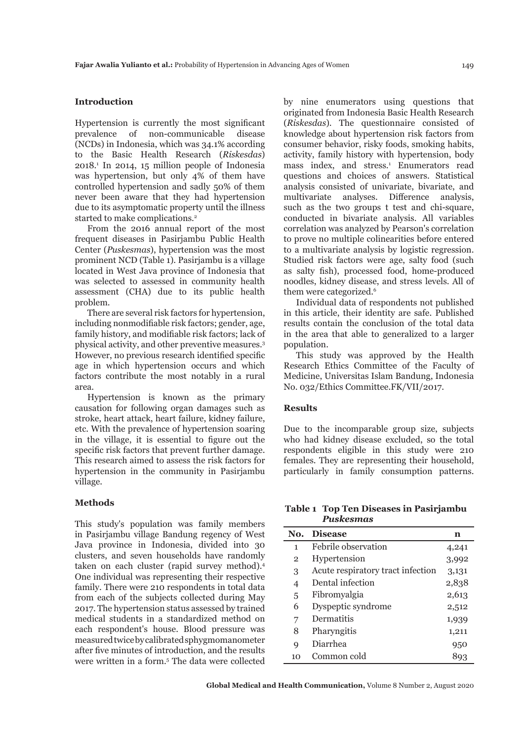## **Introduction**

Hypertension is currently the most significant prevalence of non-communicable disease (NCDs) in Indonesia, which was 34.1% according to the Basic Health Research (*Riskesdas*) 2018.1 In 2014, 15 million people of Indonesia was hypertension, but only 4% of them have controlled hypertension and sadly 50% of them never been aware that they had hypertension due to its asymptomatic property until the illness started to make complications.<sup>2</sup>

From the 2016 annual report of the most frequent diseases in Pasirjambu Public Health Center (*Puskesmas*), hypertension was the most prominent NCD (Table 1). Pasirjambu is a village located in West Java province of Indonesia that was selected to assessed in community health assessment (CHA) due to its public health problem.

There are several risk factors for hypertension, including nonmodifiable risk factors; gender, age, family history, and modifiable risk factors; lack of physical activity, and other preventive measures.3 However, no previous research identified specific age in which hypertension occurs and which factors contribute the most notably in a rural area.

Hypertension is known as the primary causation for following organ damages such as stroke, heart attack, heart failure, kidney failure, etc. With the prevalence of hypertension soaring in the village, it is essential to figure out the specific risk factors that prevent further damage. This research aimed to assess the risk factors for hypertension in the community in Pasirjambu village.

#### **Methods**

This study's population was family members in Pasirjambu village Bandung regency of West Java province in Indonesia, divided into 30 clusters, and seven households have randomly taken on each cluster (rapid survey method).<sup>4</sup> One individual was representing their respective family. There were 210 respondents in total data from each of the subjects collected during May 2017. The hypertension status assessed by trained medical students in a standardized method on each respondent's house. Blood pressure was measured twice by calibrated sphygmomanometer after five minutes of introduction, and the results were written in a form.<sup>5</sup> The data were collected by nine enumerators using questions that originated from Indonesia Basic Health Research (*Riskesdas*). The questionnaire consisted of knowledge about hypertension risk factors from consumer behavior, risky foods, smoking habits, activity, family history with hypertension, body mass index, and stress.<sup>1</sup> Enumerators read questions and choices of answers. Statistical analysis consisted of univariate, bivariate, and multivariate analyses. Difference analysis, such as the two groups t test and chi-square, conducted in bivariate analysis. All variables correlation was analyzed by Pearson's correlation to prove no multiple colinearities before entered to a multivariate analysis by logistic regression. Studied risk factors were age, salty food (such as salty fish), processed food, home-produced noodles, kidney disease, and stress levels. All of them were categorized.<sup>6</sup>

Individual data of respondents not published in this article, their identity are safe. Published results contain the conclusion of the total data in the area that able to generalized to a larger population.

This study was approved by the Health Research Ethics Committee of the Faculty of Medicine, Universitas Islam Bandung, Indonesia No. 032/Ethics Committee.FK/VII/2017.

## **Results**

Due to the incomparable group size, subjects who had kidney disease excluded, so the total respondents eligible in this study were 210 females. They are representing their household, particularly in family consumption patterns.

**Table 1 Top Ten Diseases in Pasirjambu**  *Puskesmas*

| No.            | <b>Disease</b>                    | n     |
|----------------|-----------------------------------|-------|
| 1              | Febrile observation               | 4,241 |
| $\overline{2}$ | Hypertension                      | 3,992 |
| 3              | Acute respiratory tract infection | 3,131 |
| 4              | Dental infection                  | 2,838 |
| 5              | Fibromyalgia                      | 2,613 |
| 6              | Dyspeptic syndrome                | 2,512 |
| 7              | Dermatitis                        | 1,939 |
| 8              | Pharyngitis                       | 1,211 |
| q              | Diarrhea                          | 950   |
| 10             | Common cold                       |       |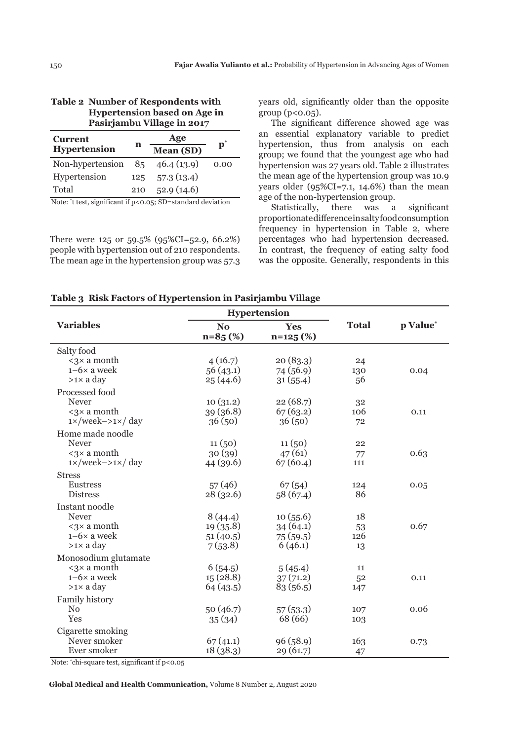| <b>Table 2 Number of Respondents with</b> |
|-------------------------------------------|
| <b>Hypertension based on Age in</b>       |
| Pasirjambu Village in 2017                |

| <b>Current</b>          | n   | Age                                              | $\mathbf{p}^*$ |
|-------------------------|-----|--------------------------------------------------|----------------|
| <b>Hypertension</b>     |     | Mean (SD)                                        |                |
| Non-hypertension        | 85  | 46.4(13.9)                                       | 0.00           |
| Hypertension            | 125 | 57.3(13.4)                                       |                |
| Total                   | 210 | 52.9(14.6)                                       |                |
| $\cdot$ $\cdot$ $\cdot$ |     | $\sim$ $\sim$ $\sim$ $\sim$ $\sim$ $\sim$ $\sim$ |                |

Note: \* t test, significant if p<0.05; SD=standard deviation

There were 125 or 59.5% (95%CI=52.9, 66.2%) people with hypertension out of 210 respondents. The mean age in the hypertension group was 57.3 years old, significantly older than the opposite group  $(p<0.05)$ .

The significant difference showed age was an essential explanatory variable to predict hypertension, thus from analysis on each group; we found that the youngest age who had hypertension was 27 years old. Table 2 illustrates the mean age of the hypertension group was 10.9 years older (95%CI=7.1, 14.6%) than the mean age of the non-hypertension group.

Statistically, there was a significant proportionate difference in salty food consumption frequency in hypertension in Table 2, where percentages who had hypertension decreased. In contrast, the frequency of eating salty food was the opposite. Generally, respondents in this

|                                            |                             | <b>Hypertension</b>      |              |          |
|--------------------------------------------|-----------------------------|--------------------------|--------------|----------|
| <b>Variables</b>                           | N <sub>o</sub><br>$n=85(%)$ | <b>Yes</b><br>$n=125(%)$ | <b>Total</b> | p Value* |
| Salty food                                 |                             |                          |              |          |
| $\langle 3 \times a \text{ month} \rangle$ | 4(16.7)                     | 20(83.3)                 | 24           |          |
| $1-6\times$ a week                         | 56(43.1)                    | 74 (56.9)                | 130          | 0.04     |
| >1× a day                                  | 25(44.6)                    | 31(55.4)                 | 56           |          |
| Processed food                             |                             |                          |              |          |
| Never                                      | 10(31.2)                    | 22(68.7)                 | 32           |          |
| $\langle 3 \times a \text{ month}$         | 39 (36.8)                   | 67(63.2)                 | 106          | 0.11     |
| $1 \times$ /week-> $1 \times$ / day        | 36(50)                      | 36(50)                   | 72           |          |
| Home made noodle                           |                             |                          |              |          |
| <b>Never</b>                               | 11(50)                      | 11(50)                   | 22           |          |
| $3 × a month$                              | 30(39)                      | 47(61)                   | 77           | 0.63     |
| $1 \times$ /week-> $1 \times$ / day        | 44(39.6)                    | 67(60.4)                 | 111          |          |
| <b>Stress</b>                              |                             |                          |              |          |
| <b>Eustress</b>                            | 57(46)                      | 67(54)                   | 124          | 0.05     |
| <b>Distress</b>                            | 28(32.6)                    | 58(67.4)                 | 86           |          |
| Instant noodle                             |                             |                          |              |          |
| Never                                      | 8(44.4)                     | 10(55.6)                 | 18           |          |
| $\langle 3 \times a \text{ month}$         | 19(35.8)                    | 34(64.1)                 | 53           | 0.67     |
| $1-6\times$ a week                         | 51(40.5)                    | 75(59.5)                 | 126          |          |
| $>1\times$ a day                           | 7(53.8)                     | 6(46.1)                  | 13           |          |
| Monosodium glutamate                       |                             |                          |              |          |
| $\langle 3 \times a \text{ month} \rangle$ | 6(54.5)                     | 5(45.4)                  | 11           |          |
| $1-6\times$ a week                         | 15(28.8)                    | 37(71.2)                 | 52           | 0.11     |
| $>1\times$ a day                           | 64(43.5)                    | 83 (56.5)                | 147          |          |
| Family history                             |                             |                          |              |          |
| N <sub>0</sub>                             | 50 (46.7)                   | 57(53.3)                 | 107          | 0.06     |
| Yes                                        | 35(34)                      | 68 (66)                  | 103          |          |
| Cigarette smoking                          |                             |                          |              |          |
| Never smoker                               | 67(41.1)                    | 96(58.9)                 | 163          | 0.73     |
| Ever smoker                                | 18(38.3)                    | 29(61.7)                 | 47           |          |
|                                            |                             |                          |              |          |

**Table 3 Risk Factors of Hypertension in Pasirjambu Village**

Note: \* chi-square test, significant if p<0.05

**Global Medical and Health Communication,** Volume 8 Number 2, August 2020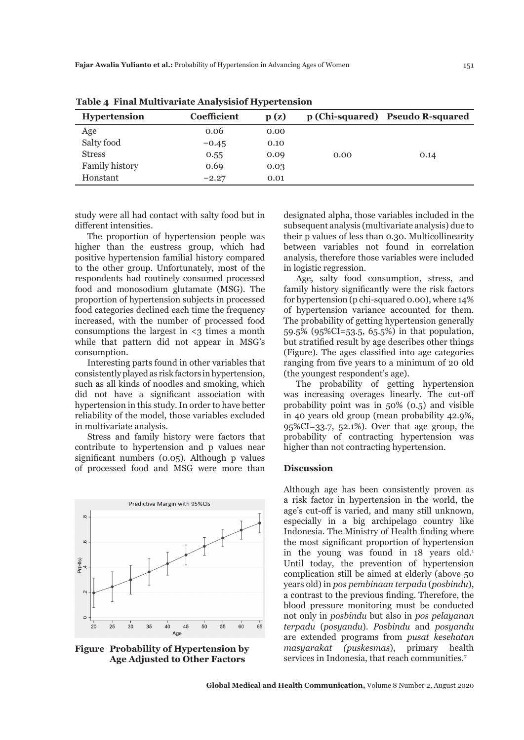| <b>Hypertension</b> | Coefficient | p(z) |      | p (Chi-squared) Pseudo R-squared |
|---------------------|-------------|------|------|----------------------------------|
| Age                 | 0.06        | 0.00 |      |                                  |
| Salty food          | $-0.45$     | 0.10 |      |                                  |
| <b>Stress</b>       | 0.55        | 0.09 | 0.00 | 0.14                             |
| Family history      | 0.69        | 0.03 |      |                                  |
| Honstant            | $-2.27$     | 0.01 |      |                                  |

**Table 4 Final Multivariate Analysisiof Hypertension**

study were all had contact with salty food but in different intensities.

The proportion of hypertension people was higher than the eustress group, which had positive hypertension familial history compared to the other group. Unfortunately, most of the respondents had routinely consumed processed food and monosodium glutamate (MSG). The proportion of hypertension subjects in processed food categories declined each time the frequency increased, with the number of processed food consumptions the largest in  $\leq$ 3 times a month while that pattern did not appear in MSG's consumption.

Interesting parts found in other variables that consistently played as risk factors in hypertension, such as all kinds of noodles and smoking, which did not have a significant association with hypertension in this study. In order to have better reliability of the model, those variables excluded in multivariate analysis.

Stress and family history were factors that contribute to hypertension and p values near significant numbers (0.05). Although p values of processed food and MSG were more than



**Figure Probability of Hypertension by Age Adjusted to Other Factors**

designated alpha, those variables included in the subsequent analysis (multivariate analysis) due to their p values of less than 0.30. Multicollinearity between variables not found in correlation analysis, therefore those variables were included in logistic regression.

Age, salty food consumption, stress, and family history significantly were the risk factors for hypertension (p chi-squared 0.00), where 14% of hypertension variance accounted for them. The probability of getting hypertension generally 59.5% (95%CI=53.5, 65.5%) in that population, but stratified result by age describes other things (Figure). The ages classified into age categories ranging from five years to a minimum of 20 old (the youngest respondent's age).

The probability of getting hypertension was increasing overages linearly. The cut-off probability point was in 50% (0.5) and visible in 40 years old group (mean probability 42.9%, 95%CI=33.7, 52.1%). Over that age group, the probability of contracting hypertension was higher than not contracting hypertension.

#### **Discussion**

Although age has been consistently proven as a risk factor in hypertension in the world, the age's cut-off is varied, and many still unknown, especially in a big archipelago country like Indonesia. The Ministry of Health finding where the most significant proportion of hypertension in the young was found in 18 years old.<sup>1</sup> Until today, the prevention of hypertension complication still be aimed at elderly (above 50 years old) in *pos pembinaan terpadu* (*posbindu*), a contrast to the previous finding. Therefore, the blood pressure monitoring must be conducted not only in *posbindu* but also in *pos pelayanan terpadu* (*posyandu*). *Posbindu* and *posyandu* are extended programs from *pusat kesehatan masyarakat (puskesmas*), primary health services in Indonesia, that reach communities.<sup>7</sup>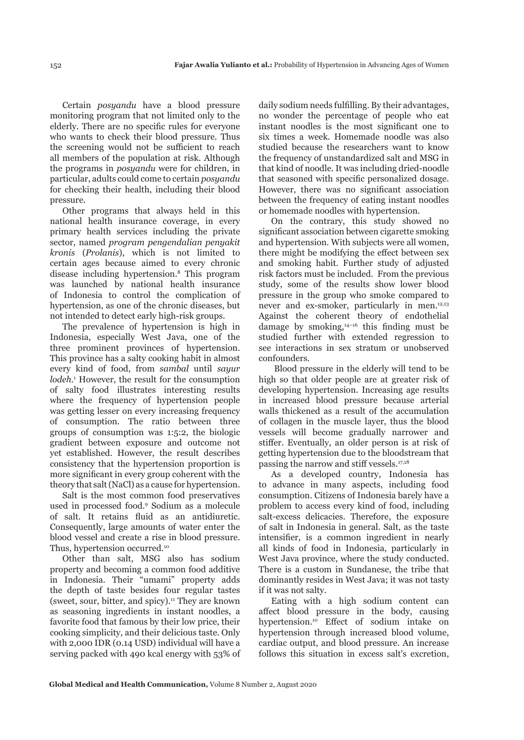Certain *posyandu* have a blood pressure monitoring program that not limited only to the elderly. There are no specific rules for everyone who wants to check their blood pressure. Thus the screening would not be sufficient to reach all members of the population at risk. Although the programs in *posyandu* were for children, in particular, adults could come to certain *posyandu* for checking their health, including their blood pressure.

Other programs that always held in this national health insurance coverage, in every primary health services including the private sector, named *program pengendalian penyakit kronis* (*Prolanis*), which is not limited to certain ages because aimed to every chronic disease including hypertension.8 This program was launched by national health insurance of Indonesia to control the complication of hypertension, as one of the chronic diseases, but not intended to detect early high-risk groups.

The prevalence of hypertension is high in Indonesia, especially West Java, one of the three prominent provinces of hypertension. This province has a salty cooking habit in almost every kind of food, from *sambal* until *sayur*  lodeh.<sup>1</sup> However, the result for the consumption of salty food illustrates interesting results where the frequency of hypertension people was getting lesser on every increasing frequency of consumption. The ratio between three groups of consumption was 1:5:2, the biologic gradient between exposure and outcome not yet established. However, the result describes consistency that the hypertension proportion is more significant in every group coherent with the theory that salt (NaCl) as a cause for hypertension.

Salt is the most common food preservatives used in processed food.9 Sodium as a molecule of salt. It retains fluid as an antidiuretic. Consequently, large amounts of water enter the blood vessel and create a rise in blood pressure. Thus, hypertension occurred.<sup>10</sup>

Other than salt, MSG also has sodium property and becoming a common food additive in Indonesia. Their "umami" property adds the depth of taste besides four regular tastes (sweet, sour, bitter, and spicy).11 They are known as seasoning ingredients in instant noodles, a favorite food that famous by their low price, their cooking simplicity, and their delicious taste. Only with 2,000 IDR (0.14 USD) individual will have a serving packed with 490 kcal energy with 53% of daily sodium needs fulfilling. By their advantages, no wonder the percentage of people who eat instant noodles is the most significant one to six times a week. Homemade noodle was also studied because the researchers want to know the frequency of unstandardized salt and MSG in that kind of noodle. It was including dried-noodle that seasoned with specific personalized dosage. However, there was no significant association between the frequency of eating instant noodles or homemade noodles with hypertension.

On the contrary, this study showed no significant association between cigarette smoking and hypertension. With subjects were all women, there might be modifying the effect between sex and smoking habit. Further study of adjusted risk factors must be included. From the previous study, some of the results show lower blood pressure in the group who smoke compared to never and ex-smoker, particularly in men.<sup>12,13</sup> Against the coherent theory of endothelial damage by smoking, $14-16$  this finding must be studied further with extended regression to see interactions in sex stratum or unobserved confounders.

 Blood pressure in the elderly will tend to be high so that older people are at greater risk of developing hypertension. Increasing age results in increased blood pressure because arterial walls thickened as a result of the accumulation of collagen in the muscle layer, thus the blood vessels will become gradually narrower and stiffer. Eventually, an older person is at risk of getting hypertension due to the bloodstream that passing the narrow and stiff vessels.17,18

As a developed country, Indonesia has to advance in many aspects, including food consumption. Citizens of Indonesia barely have a problem to access every kind of food, including salt-excess delicacies. Therefore, the exposure of salt in Indonesia in general. Salt, as the taste intensifier, is a common ingredient in nearly all kinds of food in Indonesia, particularly in West Java province, where the study conducted. There is a custom in Sundanese, the tribe that dominantly resides in West Java; it was not tasty if it was not salty.

Eating with a high sodium content can affect blood pressure in the body, causing hypertension.<sup>10</sup> Effect of sodium intake on hypertension through increased blood volume, cardiac output, and blood pressure. An increase follows this situation in excess salt's excretion,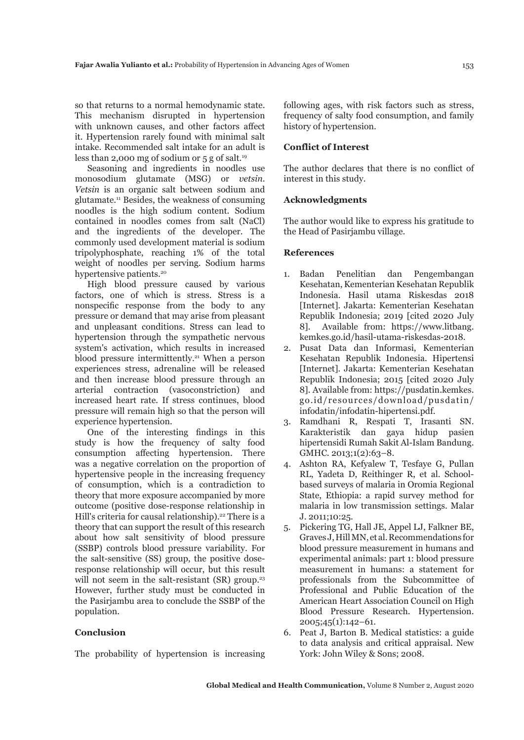so that returns to a normal hemodynamic state. This mechanism disrupted in hypertension with unknown causes, and other factors affect it. Hypertension rarely found with minimal salt intake. Recommended salt intake for an adult is less than 2,000 mg of sodium or  $5$  g of salt.<sup>19</sup>

Seasoning and ingredients in noodles use monosodium glutamate (MSG) or *vetsin*. *Vetsin* is an organic salt between sodium and glutamate.11 Besides, the weakness of consuming noodles is the high sodium content. Sodium contained in noodles comes from salt (NaCl) and the ingredients of the developer. The commonly used development material is sodium tripolyphosphate, reaching 1% of the total weight of noodles per serving. Sodium harms hypertensive patients.<sup>20</sup>

High blood pressure caused by various factors, one of which is stress. Stress is a nonspecific response from the body to any pressure or demand that may arise from pleasant and unpleasant conditions. Stress can lead to hypertension through the sympathetic nervous system's activation, which results in increased blood pressure intermittently.<sup>21</sup> When a person experiences stress, adrenaline will be released and then increase blood pressure through an arterial contraction (vasoconstriction) and increased heart rate. If stress continues, blood pressure will remain high so that the person will experience hypertension.

One of the interesting findings in this study is how the frequency of salty food consumption affecting hypertension. There was a negative correlation on the proportion of hypertensive people in the increasing frequency of consumption, which is a contradiction to theory that more exposure accompanied by more outcome (positive dose-response relationship in Hill's criteria for causal relationship).<sup>22</sup> There is a theory that can support the result of this research about how salt sensitivity of blood pressure (SSBP) controls blood pressure variability. For the salt-sensitive (SS) group, the positive doseresponse relationship will occur, but this result will not seem in the salt-resistant  $(SR)$  group.<sup>23</sup> However, further study must be conducted in the Pasirjambu area to conclude the SSBP of the population.

# **Conclusion**

The probability of hypertension is increasing

following ages, with risk factors such as stress, frequency of salty food consumption, and family history of hypertension.

## **Conflict of Interest**

The author declares that there is no conflict of interest in this study.

## **Acknowledgments**

The author would like to express his gratitude to the Head of Pasirjambu village.

### **References**

- 1. Badan Penelitian dan Pengembangan Kesehatan, Kementerian Kesehatan Republik Indonesia. Hasil utama Riskesdas 2018 [Internet]. Jakarta: Kementerian Kesehatan Republik Indonesia; 2019 [cited 2020 July 8]. Available from: https://www.litbang. kemkes.go.id/hasil-utama-riskesdas-2018.
- 2. Pusat Data dan Informasi, Kementerian Kesehatan Republik Indonesia. Hipertensi [Internet]. Jakarta: Kementerian Kesehatan Republik Indonesia; 2015 [cited 2020 July 8]. Available from: https://pusdatin.kemkes. go.id/resources/download/pusdatin/ infodatin/infodatin-hipertensi.pdf.
- 3. Ramdhani R, Respati T, Irasanti SN. Karakteristik dan gaya hidup pasien hipertensidi Rumah Sakit Al-Islam Bandung. GMHC. 2013;1(2):63-8.
- 4. Ashton RA, Kefyalew T, Tesfaye G, Pullan RL, Yadeta D, Reithinger R, et al. Schoolbased surveys of malaria in Oromia Regional State, Ethiopia: a rapid survey method for malaria in low transmission settings. Malar J. 2011;10:25.
- 5. Pickering TG, Hall JE, Appel LJ, Falkner BE, Graves J, Hill MN, et al. Recommendations for blood pressure measurement in humans and experimental animals: part 1: blood pressure measurement in humans: a statement for professionals from the Subcommittee of Professional and Public Education of the American Heart Association Council on High Blood Pressure Research. Hypertension. 2005;45(1):142–61.
- 6. Peat J, Barton B. Medical statistics: a guide to data analysis and critical appraisal. New York: John Wiley & Sons; 2008.